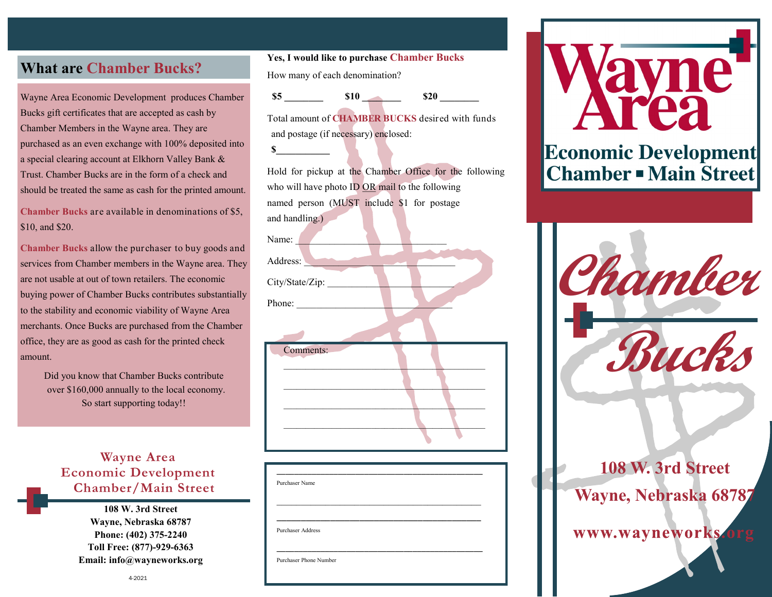## **What are Chamber Bucks?**

Wayne Area Economic Development produces Chamber Bucks gift certificates that are accepted as cash by Chamber Members in the Wayne area. They are purchased as an even exchange with 100% deposited into a special clearing account at Elkhorn Valley Bank & Trust. Chamber Bucks are in the form of a check and should be treated the same as cash for the printed amount.

**Chamber Bucks** are available in denominations of \$5, \$10, and \$20.

**Chamber Bucks** allow the purchaser to buy goods and services from Chamber members in the Wayne area. They are not usable at out of town retailers. The economic buying power of Chamber Bucks contributes substantially to the stability and economic viability of Wayne Area merchants. Once Bucks are purchased from the Chamber office, they are as good as cash for the printed check amount.

> Did you know that Chamber Bucks contribute over \$160,000 annually to the local economy. So start supporting today!!

## **Wayne Area Economic Development Chamber/Main Street**

**108 W. 3rd Street Wayne, Nebraska 68787 Phone: (402) 375-2240 Toll Free: (877)-929-6363 Email: info@wayneworks.org** How many of each denomination? **Yes, I would like to purchase Chamber Bucks**





| Chamber                                    |
|--------------------------------------------|
| Bucks                                      |
| 108 W. 3rd Street<br>Wayne, Nebraska 68787 |
| www.wayneworks.org                         |

Total amount of **CHAMBER BUCKS** desired with funds and postage (if necessary) enclosed:  $\mathbf S$ 

Hold for pickup at the Chamber Office for the following who will have photo ID OR mail to the following named person (MUST include \$1 for postage and handling.) Name:



| Purchaser Name           |  |  |
|--------------------------|--|--|
|                          |  |  |
|                          |  |  |
|                          |  |  |
| <b>Purchaser Address</b> |  |  |

Purchaser Phone Number